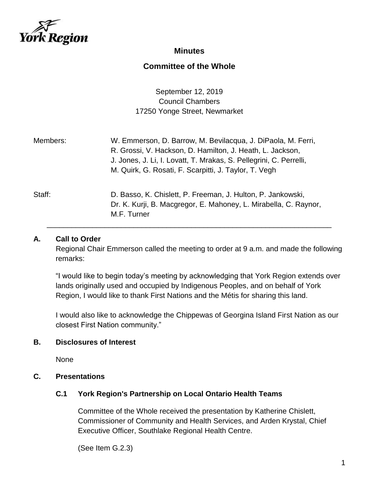

## **Minutes**

# **Committee of the Whole**

September 12, 2019 Council Chambers 17250 Yonge Street, Newmarket

| Members: | W. Emmerson, D. Barrow, M. Bevilacqua, J. DiPaola, M. Ferri,<br>R. Grossi, V. Hackson, D. Hamilton, J. Heath, L. Jackson,<br>J. Jones, J. Li, I. Lovatt, T. Mrakas, S. Pellegrini, C. Perrelli,<br>M. Quirk, G. Rosati, F. Scarpitti, J. Taylor, T. Vegh |
|----------|----------------------------------------------------------------------------------------------------------------------------------------------------------------------------------------------------------------------------------------------------------|
| Staff:   | D. Basso, K. Chislett, P. Freeman, J. Hulton, P. Jankowski,<br>Dr. K. Kurji, B. Macgregor, E. Mahoney, L. Mirabella, C. Raynor,<br>M.F. Turner                                                                                                           |

### **A. Call to Order**

Regional Chair Emmerson called the meeting to order at 9 a.m. and made the following remarks:

"I would like to begin today's meeting by acknowledging that York Region extends over lands originally used and occupied by Indigenous Peoples, and on behalf of York Region, I would like to thank First Nations and the Métis for sharing this land.

I would also like to acknowledge the Chippewas of Georgina Island First Nation as our closest First Nation community."

#### **B. Disclosures of Interest**

None

### **C. Presentations**

#### **C.1 York Region's Partnership on Local Ontario Health Teams**

Committee of the Whole received the presentation by Katherine Chislett, Commissioner of Community and Health Services, and Arden Krystal, Chief Executive Officer, Southlake Regional Health Centre.

(See Item G.2.3)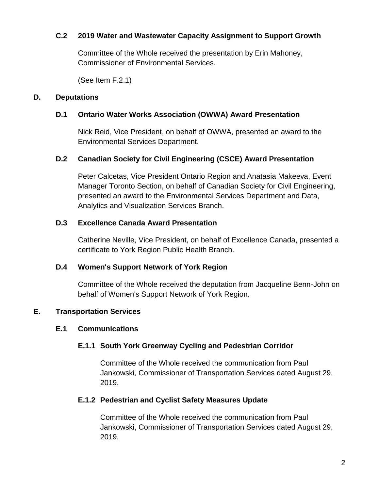### **C.2 2019 Water and Wastewater Capacity Assignment to Support Growth**

Committee of the Whole received the presentation by Erin Mahoney, Commissioner of Environmental Services.

(See Item F.2.1)

#### **D. Deputations**

### **D.1 Ontario Water Works Association (OWWA) Award Presentation**

Nick Reid, Vice President, on behalf of OWWA, presented an award to the Environmental Services Department.

### **D.2 Canadian Society for Civil Engineering (CSCE) Award Presentation**

Peter Calcetas, Vice President Ontario Region and Anatasia Makeeva, Event Manager Toronto Section, on behalf of Canadian Society for Civil Engineering, presented an award to the Environmental Services Department and Data, Analytics and Visualization Services Branch.

### **D.3 Excellence Canada Award Presentation**

Catherine Neville, Vice President, on behalf of Excellence Canada, presented a certificate to York Region Public Health Branch.

#### **D.4 Women's Support Network of York Region**

Committee of the Whole received the deputation from Jacqueline Benn-John on behalf of Women's Support Network of York Region.

## **E. Transportation Services**

#### **E.1 Communications**

## **E.1.1 South York Greenway Cycling and Pedestrian Corridor**

Committee of the Whole received the communication from Paul Jankowski, Commissioner of Transportation Services dated August 29, 2019.

#### **E.1.2 Pedestrian and Cyclist Safety Measures Update**

Committee of the Whole received the communication from Paul Jankowski, Commissioner of Transportation Services dated August 29, 2019.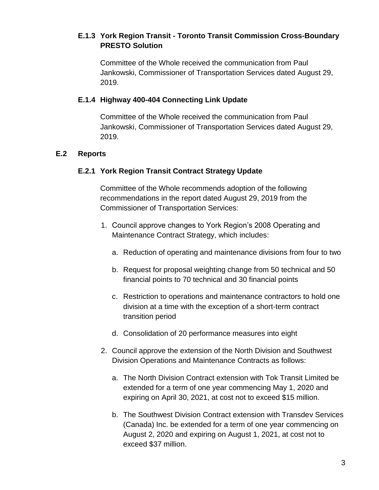## **E.1.3 York Region Transit - Toronto Transit Commission Cross-Boundary PRESTO Solution**

Committee of the Whole received the communication from Paul Jankowski, Commissioner of Transportation Services dated August 29, 2019.

### **E.1.4 Highway 400-404 Connecting Link Update**

Committee of the Whole received the communication from Paul Jankowski, Commissioner of Transportation Services dated August 29, 2019.

## **E.2 Reports**

## **E.2.1 York Region Transit Contract Strategy Update**

Committee of the Whole recommends adoption of the following recommendations in the report dated August 29, 2019 from the Commissioner of Transportation Services:

- 1. Council approve changes to York Region's 2008 Operating and Maintenance Contract Strategy, which includes:
	- a. Reduction of operating and maintenance divisions from four to two
	- b. Request for proposal weighting change from 50 technical and 50 financial points to 70 technical and 30 financial points
	- c. Restriction to operations and maintenance contractors to hold one division at a time with the exception of a short-term contract transition period
	- d. Consolidation of 20 performance measures into eight
- 2. Council approve the extension of the North Division and Southwest Division Operations and Maintenance Contracts as follows:
	- a. The North Division Contract extension with Tok Transit Limited be extended for a term of one year commencing May 1, 2020 and expiring on April 30, 2021, at cost not to exceed \$15 million.
	- b. The Southwest Division Contract extension with Transdev Services (Canada) Inc. be extended for a term of one year commencing on August 2, 2020 and expiring on August 1, 2021, at cost not to exceed \$37 million.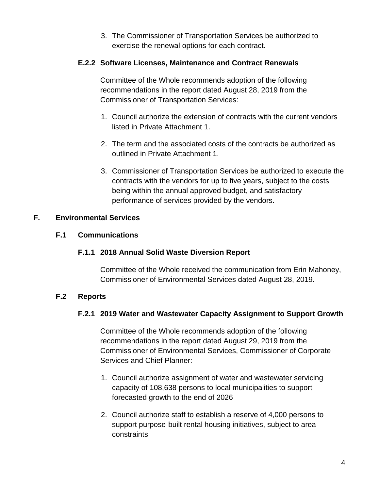3. The Commissioner of Transportation Services be authorized to exercise the renewal options for each contract.

## **E.2.2 Software Licenses, Maintenance and Contract Renewals**

Committee of the Whole recommends adoption of the following recommendations in the report dated August 28, 2019 from the Commissioner of Transportation Services:

- 1. Council authorize the extension of contracts with the current vendors listed in Private Attachment 1.
- 2. The term and the associated costs of the contracts be authorized as outlined in Private Attachment 1.
- 3. Commissioner of Transportation Services be authorized to execute the contracts with the vendors for up to five years, subject to the costs being within the annual approved budget, and satisfactory performance of services provided by the vendors.

## **F. Environmental Services**

## **F.1 Communications**

## **F.1.1 2018 Annual Solid Waste Diversion Report**

Committee of the Whole received the communication from Erin Mahoney, Commissioner of Environmental Services dated August 28, 2019.

# **F.2 Reports**

## **F.2.1 2019 Water and Wastewater Capacity Assignment to Support Growth**

Committee of the Whole recommends adoption of the following recommendations in the report dated August 29, 2019 from the Commissioner of Environmental Services, Commissioner of Corporate Services and Chief Planner:

- 1. Council authorize assignment of water and wastewater servicing capacity of 108,638 persons to local municipalities to support forecasted growth to the end of 2026
- 2. Council authorize staff to establish a reserve of 4,000 persons to support purpose-built rental housing initiatives, subject to area constraints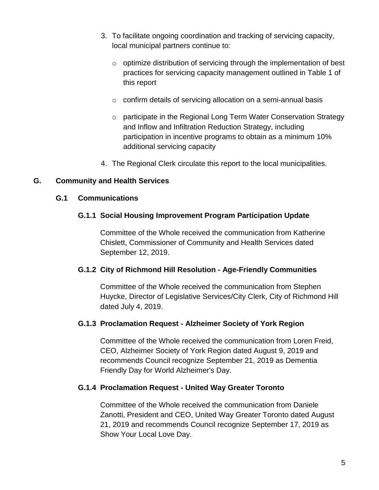- 3. To facilitate ongoing coordination and tracking of servicing capacity, local municipal partners continue to:
	- o optimize distribution of servicing through the implementation of best practices for servicing capacity management outlined in Table 1 of this report
	- o confirm details of servicing allocation on a semi-annual basis
	- o participate in the Regional Long Term Water Conservation Strategy and Inflow and Infiltration Reduction Strategy, including participation in incentive programs to obtain as a minimum 10% additional servicing capacity
- 4. The Regional Clerk circulate this report to the local municipalities.

## **G. Community and Health Services**

#### **G.1 Communications**

### **G.1.1 Social Housing Improvement Program Participation Update**

Committee of the Whole received the communication from Katherine Chislett, Commissioner of Community and Health Services dated September 12, 2019.

#### **G.1.2 City of Richmond Hill Resolution - Age-Friendly Communities**

Committee of the Whole received the communication from Stephen Huycke, Director of Legislative Services/City Clerk, City of Richmond Hill dated July 4, 2019.

#### **G.1.3 Proclamation Request - Alzheimer Society of York Region**

Committee of the Whole received the communication from Loren Freid, CEO, Alzheimer Society of York Region dated August 9, 2019 and recommends Council recognize September 21, 2019 as Dementia Friendly Day for World Alzheimer's Day.

#### **G.1.4 Proclamation Request - United Way Greater Toronto**

Committee of the Whole received the communication from Daniele Zanotti, President and CEO, United Way Greater Toronto dated August 21, 2019 and recommends Council recognize September 17, 2019 as Show Your Local Love Day.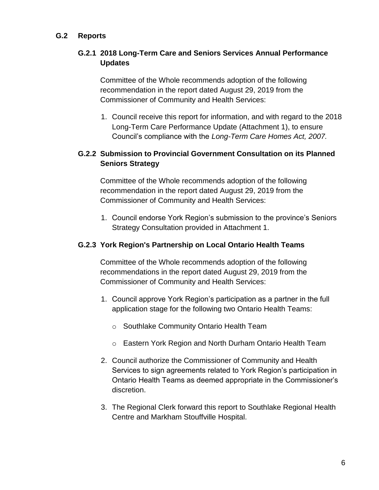## **G.2 Reports**

## **G.2.1 2018 Long-Term Care and Seniors Services Annual Performance Updates**

Committee of the Whole recommends adoption of the following recommendation in the report dated August 29, 2019 from the Commissioner of Community and Health Services:

1. Council receive this report for information, and with regard to the 2018 Long-Term Care Performance Update (Attachment 1), to ensure Council's compliance with the *Long-Term Care Homes Act, 2007.*

## **G.2.2 Submission to Provincial Government Consultation on its Planned Seniors Strategy**

Committee of the Whole recommends adoption of the following recommendation in the report dated August 29, 2019 from the Commissioner of Community and Health Services:

1. Council endorse York Region's submission to the province's Seniors Strategy Consultation provided in Attachment 1.

### **G.2.3 York Region's Partnership on Local Ontario Health Teams**

Committee of the Whole recommends adoption of the following recommendations in the report dated August 29, 2019 from the Commissioner of Community and Health Services:

- 1. Council approve York Region's participation as a partner in the full application stage for the following two Ontario Health Teams:
	- o Southlake Community Ontario Health Team
	- o Eastern York Region and North Durham Ontario Health Team
- 2. Council authorize the Commissioner of Community and Health Services to sign agreements related to York Region's participation in Ontario Health Teams as deemed appropriate in the Commissioner's discretion.
- 3. The Regional Clerk forward this report to Southlake Regional Health Centre and Markham Stouffville Hospital.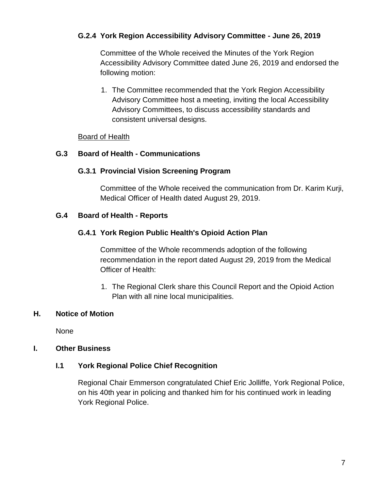## **G.2.4 York Region Accessibility Advisory Committee - June 26, 2019**

Committee of the Whole received the Minutes of the York Region Accessibility Advisory Committee dated June 26, 2019 and endorsed the following motion:

1. The Committee recommended that the York Region Accessibility Advisory Committee host a meeting, inviting the local Accessibility Advisory Committees, to discuss accessibility standards and consistent universal designs.

#### Board of Health

### **G.3 Board of Health - Communications**

## **G.3.1 Provincial Vision Screening Program**

Committee of the Whole received the communication from Dr. Karim Kurji, Medical Officer of Health dated August 29, 2019.

### **G.4 Board of Health - Reports**

### **G.4.1 York Region Public Health's Opioid Action Plan**

Committee of the Whole recommends adoption of the following recommendation in the report dated August 29, 2019 from the Medical Officer of Health:

1. The Regional Clerk share this Council Report and the Opioid Action Plan with all nine local municipalities.

## **H. Notice of Motion**

None

## **I. Other Business**

## **I.1 York Regional Police Chief Recognition**

Regional Chair Emmerson congratulated Chief Eric Jolliffe, York Regional Police, on his 40th year in policing and thanked him for his continued work in leading York Regional Police.